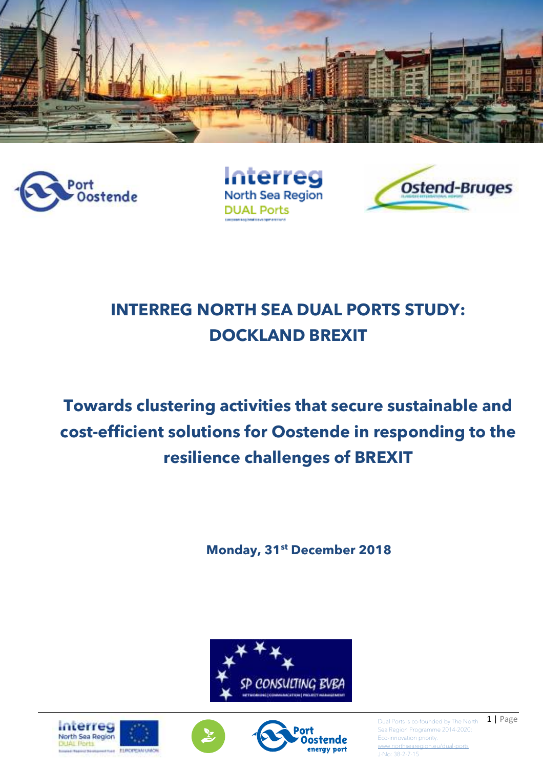



**Interreg** North Sea Region **DUAL Ports** 



# **INTERREG NORTH SEA DUAL PORTS STUDY: DOCKLAND BREXIT**

# **Towards clustering activities that secure sustainable and cost-efficient solutions for Oostende in responding to the resilience challenges of BREXIT**

**Monday, 31st December 2018**









Dual Ports is co-founded by The North  $\Box$  | Page Sea Region Programme 2014-2020; Eco-innovation priority. www.northseared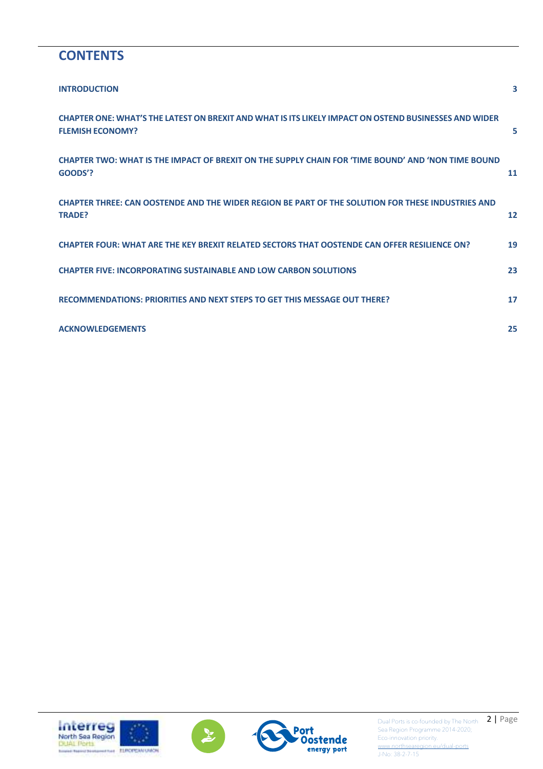### **CONTENTS**

| <b>INTRODUCTION</b>                                                                                                              | 3                 |
|----------------------------------------------------------------------------------------------------------------------------------|-------------------|
| CHAPTER ONE: WHAT'S THE LATEST ON BREXIT AND WHAT IS ITS LIKELY IMPACT ON OSTEND BUSINESSES AND WIDER<br><b>FLEMISH ECONOMY?</b> | 5                 |
| CHAPTER TWO: WHAT IS THE IMPACT OF BREXIT ON THE SUPPLY CHAIN FOR 'TIME BOUND' AND 'NON TIME BOUND<br>GOODS'?                    | 11                |
| CHAPTER THREE: CAN OOSTENDE AND THE WIDER REGION BE PART OF THE SOLUTION FOR THESE INDUSTRIES AND<br><b>TRADE?</b>               | $12 \overline{ }$ |
| CHAPTER FOUR: WHAT ARE THE KEY BREXIT RELATED SECTORS THAT OOSTENDE CAN OFFER RESILIENCE ON?                                     | 19                |
| <b>CHAPTER FIVE: INCORPORATING SUSTAINABLE AND LOW CARBON SOLUTIONS</b>                                                          | 23                |
| RECOMMENDATIONS: PRIORITIES AND NEXT STEPS TO GET THIS MESSAGE OUT THERE?                                                        | 17                |
| <b>ACKNOWLEDGEMENTS</b>                                                                                                          | 25                |





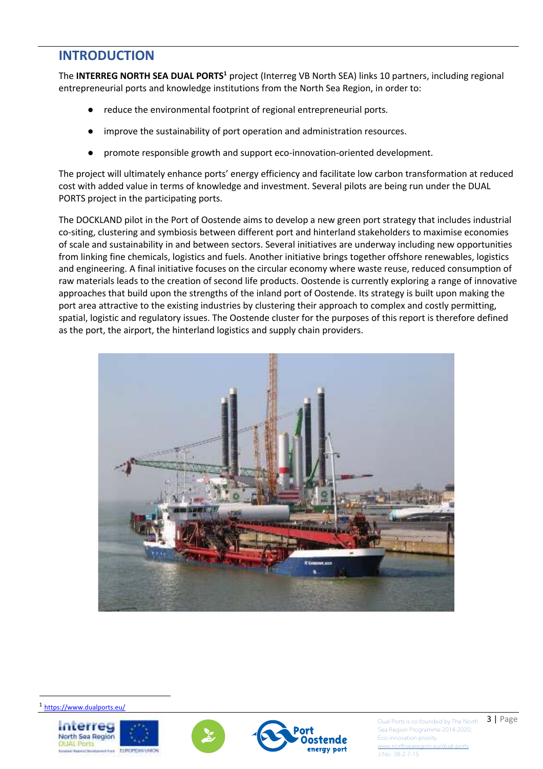### **INTRODUCTION**

The **INTERREG NORTH SEA DUAL PORTS<sup>1</sup>** project (Interreg VB North SEA) links 10 partners, including regional entrepreneurial ports and knowledge institutions from the North Sea Region, in order to:

- reduce the environmental footprint of regional entrepreneurial ports.
- improve the sustainability of port operation and administration resources.
- promote responsible growth and support eco-innovation-oriented development.

The project will ultimately enhance ports' energy efficiency and facilitate low carbon transformation at reduced cost with added value in terms of knowledge and investment. Several pilots are being run under the DUAL PORTS project in the participating ports.

The DOCKLAND pilot in the Port of Oostende aims to develop a new green port strategy that includes industrial co-siting, clustering and symbiosis between different port and hinterland stakeholders to maximise economies of scale and sustainability in and between sectors. Several initiatives are underway including new opportunities from linking fine chemicals, logistics and fuels. Another initiative brings together offshore renewables, logistics and engineering. A final initiative focuses on the circular economy where waste reuse, reduced consumption of raw materials leads to the creation of second life products. Oostende is currently exploring a range of innovative approaches that build upon the strengths of the inland port of Oostende. Its strategy is built upon making the port area attractive to the existing industries by clustering their approach to complex and costly permitting, spatial, logistic and regulatory issues. The Oostende cluster for the purposes of this report is therefore defined as the port, the airport, the hinterland logistics and supply chain providers.





l

Dual Ports is co-founded by The North  $\begin{array}{c} 3 \end{array}$  **Page** Sea Region Programme 2014-2020; Eco-innovation priority. w.northsea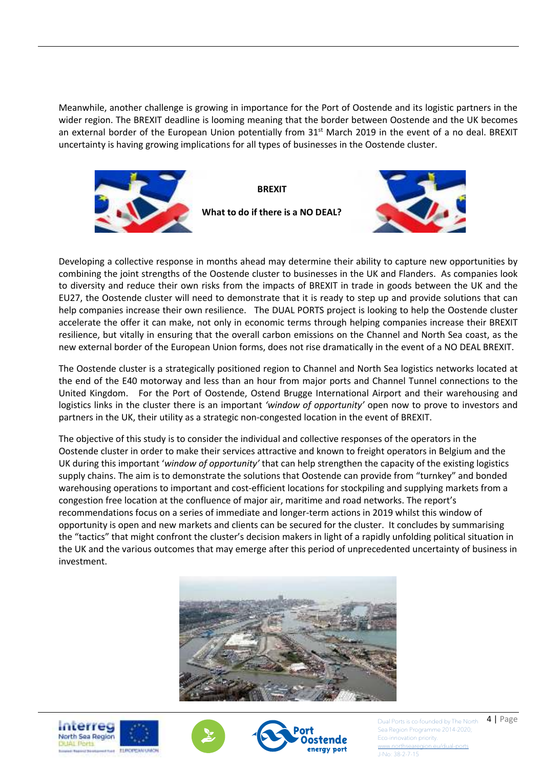Meanwhile, another challenge is growing in importance for the Port of Oostende and its logistic partners in the wider region. The BREXIT deadline is looming meaning that the border between Oostende and the UK becomes an external border of the European Union potentially from  $31<sup>st</sup>$  March 2019 in the event of a no deal. BREXIT uncertainty is having growing implications for all types of businesses in the Oostende cluster.



**BREXIT What to do if there is a NO DEAL?**



Developing a collective response in months ahead may determine their ability to capture new opportunities by combining the joint strengths of the Oostende cluster to businesses in the UK and Flanders. As companies look to diversity and reduce their own risks from the impacts of BREXIT in trade in goods between the UK and the EU27, the Oostende cluster will need to demonstrate that it is ready to step up and provide solutions that can help companies increase their own resilience. The DUAL PORTS project is looking to help the Oostende cluster accelerate the offer it can make, not only in economic terms through helping companies increase their BREXIT resilience, but vitally in ensuring that the overall carbon emissions on the Channel and North Sea coast, as the new external border of the European Union forms, does not rise dramatically in the event of a NO DEAL BREXIT.

The Oostende cluster is a strategically positioned region to Channel and North Sea logistics networks located at the end of the E40 motorway and less than an hour from major ports and Channel Tunnel connections to the United Kingdom. For the Port of Oostende, Ostend Brugge International Airport and their warehousing and logistics links in the cluster there is an important *'window of opportunity'* open now to prove to investors and partners in the UK, their utility as a strategic non-congested location in the event of BREXIT.

The objective of this study is to consider the individual and collective responses of the operators in the Oostende cluster in order to make their services attractive and known to freight operators in Belgium and the UK during this important '*window of opportunity'* that can help strengthen the capacity of the existing logistics supply chains. The aim is to demonstrate the solutions that Oostende can provide from "turnkey" and bonded warehousing operations to important and cost-efficient locations for stockpiling and supplying markets from a congestion free location at the confluence of major air, maritime and road networks. The report's recommendations focus on a series of immediate and longer-term actions in 2019 whilst this window of opportunity is open and new markets and clients can be secured for the cluster. It concludes by summarising the "tactics" that might confront the cluster's decision makers in light of a rapidly unfolding political situation in the UK and the various outcomes that may emerge after this period of unprecedented uncertainty of business in investment.









Dual Ports is co-founded by The North  $4 \mid$  Page Sea Region Programme 2014-2020; Eco-innovation priority. w.northsea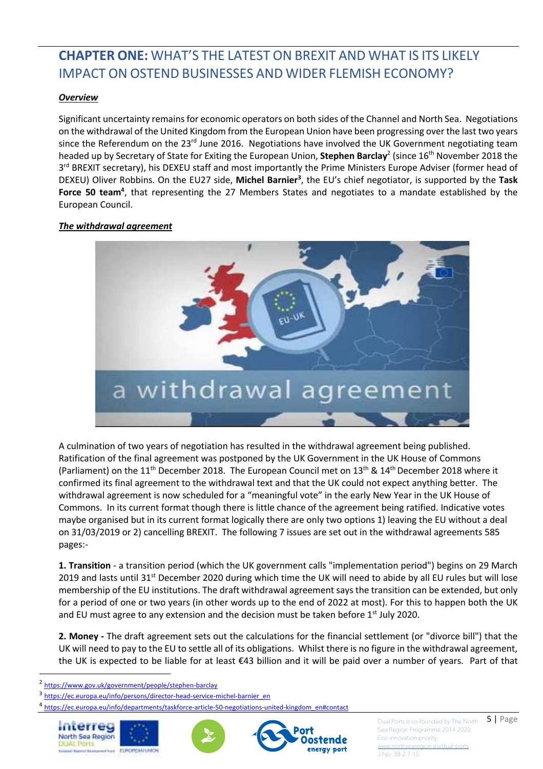# **CHAPTER ONE:** WHAT'S THE LATEST ON BREXIT AND WHAT IS ITS LIKELY IMPACT ON OSTEND BUSINESSES AND WIDER FLEMISH ECONOMY?

#### *Overview*

Significant uncertainty remains for economic operators on both sides of the Channel and North Sea. Negotiations on the withdrawal of the United Kingdom from the European Union have been progressing over the last two years since the Referendum on the 23<sup>rd</sup> June 2016. Negotiations have involved the UK Government negotiating team headed up by Secretary of State for Exiting the European Union, Stephen Barclay<sup>2</sup> (since 16<sup>th</sup> November 2018 the 3<sup>rd</sup> BREXIT secretary), his DEXEU staff and most importantly the Prime Ministers Europe Adviser (former head of DEXEU) Oliver Robbins. On the EU27 side, **Michel Barnier<sup>3</sup>** , the EU's chief negotiator, is supported by the **Task Force 50 team<sup>4</sup>** , that representing the 27 Members States and negotiates to a mandate established by the European Council.

#### *The withdrawal agreement*



A culmination of two years of negotiation has resulted in the withdrawal agreement being published. Ratification of the final agreement was postponed by the UK Government in the UK House of Commons (Parliament) on the 11<sup>th</sup> December 2018. The European Council met on 13<sup>th</sup> & 14<sup>th</sup> December 2018 where it confirmed its final agreement to the withdrawal text and that the UK could not expect anything better. The withdrawal agreement is now scheduled for a "meaningful vote" in the early New Year in the UK House of Commons. In its current format though there is little chance of the agreement being ratified. Indicative votes maybe organised but in its current format logically there are only two options 1) leaving the EU without a deal on 31/03/2019 or 2) cancelling BREXIT. The following 7 issues are set out in the withdrawal agreements 585 pages:-

**1. Transition** - a transition period (which the UK government calls "implementation period") begins on 29 March 2019 and lasts until 31<sup>st</sup> December 2020 during which time the UK will need to abide by all EU rules but will lose membership of the EU institutions. The draft withdrawal agreement says the transition can be extended, but only for a period of one or two years (in other words up to the end of 2022 at most). For this to happen both the UK and EU must agree to any extension and the decision must be taken before  $1<sup>st</sup>$  July 2020.

**2. Money -** The draft agreement sets out the calculations for the financial settlement (or "divorce bill") that the UK will need to pay to the EU to settle all of its obligations. Whilst there is no figure in the withdrawal agreement, the UK is expected to be liable for at least €43 billion and it will be paid over a number of years. Part of that

3 https://ec.europa.eu/info/persons/director-head-service-michel-barnier\_en

mterred North Sea Region

l





Dual Ports is co-founded by The North  $\overline{5}$  | Page Sea Region Programme 2014-2020; Eco-innovation priority. ww.northsea

<sup>2</sup> https://www.gov.uk/government/people/stephen-barclay

<sup>4</sup> https://ec.europa.eu/info/departments/taskforce-article-50-negotiations-united-kingdom\_en#contact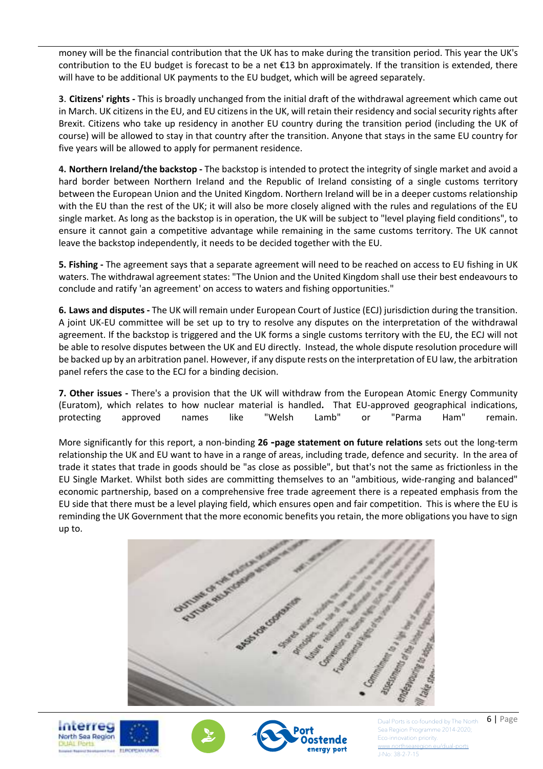money will be the financial contribution that the UK has to make during the transition period. This year the UK's contribution to the EU budget is forecast to be a net  $\epsilon$ 13 bn approximately. If the transition is extended, there will have to be additional UK payments to the EU budget, which will be agreed separately.

**3**. **Citizens' rights -** This is broadly unchanged from the initial draft of the withdrawal agreement which came out in March. UK citizens in the EU, and EU citizens in the UK, will retain their residency and social security rights after Brexit. Citizens who take up residency in another EU country during the transition period (including the UK of course) will be allowed to stay in that country after the transition. Anyone that stays in the same EU country for five years will be allowed to apply for permanent residence.

**4. Northern Ireland/the backstop -** The backstop is intended to protect the integrity of single market and avoid a hard border between Northern Ireland and the Republic of Ireland consisting of a single customs territory between the European Union and the United Kingdom. Northern Ireland will be in a deeper customs relationship with the EU than the rest of the UK; it will also be more closely aligned with the rules and regulations of the EU single market. As long as the backstop is in operation, the UK will be subject to "level playing field conditions", to ensure it cannot gain a competitive advantage while remaining in the same customs territory. The UK cannot leave the backstop independently, it needs to be decided together with the EU.

**5. Fishing -** The agreement says that a separate agreement will need to be reached on access to EU fishing in UK waters. The withdrawal agreement states: "The Union and the United Kingdom shall use their best endeavours to conclude and ratify 'an agreement' on access to waters and fishing opportunities."

**6. Laws and disputes -** The UK will remain under European Court of Justice (ECJ) jurisdiction during the transition. A joint UK-EU committee will be set up to try to resolve any disputes on the interpretation of the withdrawal agreement. If the backstop is triggered and the UK forms a single customs territory with the EU, the ECJ will not be able to resolve disputes between the UK and EU directly. Instead, the whole dispute resolution procedure will be backed up by an arbitration panel. However, if any dispute rests on the interpretation of EU law, the arbitration panel refers the case to the ECJ for a binding decision.

**7. Other issues -** There's a provision that the UK will withdraw from the European Atomic Energy Community (Euratom), which relates to how nuclear material is handled**.** That EU-approved geographical indications, protecting approved names like "Welsh Lamb" or "Parma Ham" remain.

More significantly for this report, a non-binding **26 -page statement on future relations** sets out the long-term relationship the UK and EU want to have in a range of areas, including trade, defence and security. In the area of trade it states that trade in goods should be "as close as possible", but that's not the same as frictionless in the EU Single Market. Whilst both sides are committing themselves to an "ambitious, wide-ranging and balanced" economic partnership, based on a comprehensive free trade agreement there is a repeated emphasis from the EU side that there must be a level playing field, which ensures open and fair competition. This is where the EU is reminding the UK Government that the more economic benefits you retain, the more obligations you have to sign up to.









Dual Ports is co-founded by The North  $\overline{6}$  | Page Sea Region Programme 2014-2020; Eco-innovation priority. w.northsea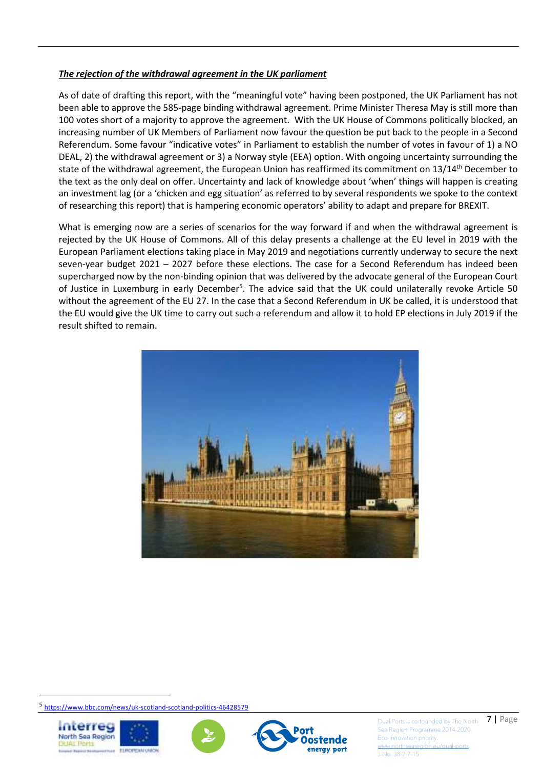#### *The rejection of the withdrawal agreement in the UK parliament*

As of date of drafting this report, with the "meaningful vote" having been postponed, the UK Parliament has not been able to approve the 585-page binding withdrawal agreement. Prime Minister Theresa May is still more than 100 votes short of a majority to approve the agreement. With the UK House of Commons politically blocked, an increasing number of UK Members of Parliament now favour the question be put back to the people in a Second Referendum. Some favour "indicative votes" in Parliament to establish the number of votes in favour of 1) a NO DEAL, 2) the withdrawal agreement or 3) a Norway style (EEA) option. With ongoing uncertainty surrounding the state of the withdrawal agreement, the European Union has reaffirmed its commitment on 13/14<sup>th</sup> December to the text as the only deal on offer. Uncertainty and lack of knowledge about 'when' things will happen is creating an investment lag (or a 'chicken and egg situation' as referred to by several respondents we spoke to the context of researching this report) that is hampering economic operators' ability to adapt and prepare for BREXIT.

What is emerging now are a series of scenarios for the way forward if and when the withdrawal agreement is rejected by the UK House of Commons. All of this delay presents a challenge at the EU level in 2019 with the European Parliament elections taking place in May 2019 and negotiations currently underway to secure the next seven-year budget 2021 – 2027 before these elections. The case for a Second Referendum has indeed been supercharged now by the non-binding opinion that was delivered by the advocate general of the European Court of Justice in Luxemburg in early December<sup>5</sup>. The advice said that the UK could unilaterally revoke Article 50 without the agreement of the EU 27. In the case that a Second Referendum in UK be called, it is understood that the EU would give the UK time to carry out such a referendum and allow it to hold EP elections in July 2019 if the result shifted to remain.



5 https://www.bbc.com/news/uk-scotland-scotland-politics-46428579



l







Dual Ports is co-founded by The North  $\Box$  **7** | Page Sea Region Programme 2014-2020; Eco-innovation priority. ww.northsea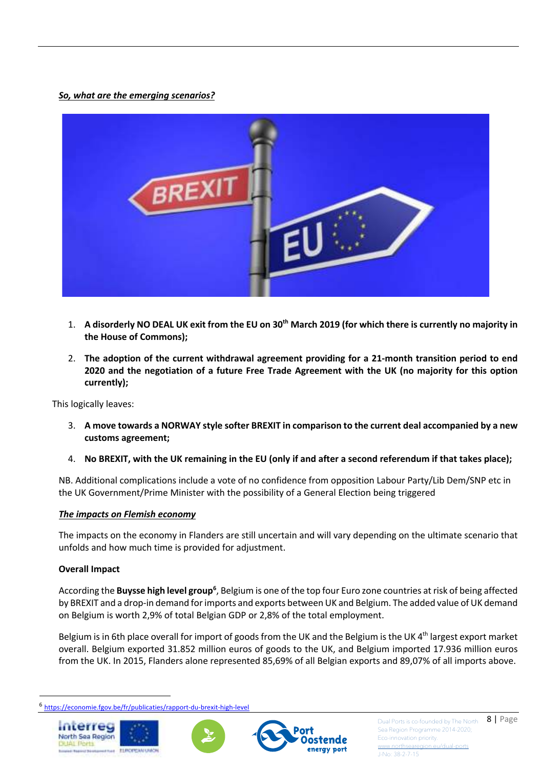#### *So, what are the emerging scenarios?*



- 1. **A disorderly NO DEAL UK exit from the EU on 30th March 2019 (for which there is currently no majority in the House of Commons);**
- 2. **The adoption of the current withdrawal agreement providing for a 21-month transition period to end 2020 and the negotiation of a future Free Trade Agreement with the UK (no majority for this option currently);**

This logically leaves:

- 3. **A move towards a NORWAY style softer BREXIT in comparison to the current deal accompanied by a new customs agreement;**
- 4. **No BREXIT, with the UK remaining in the EU (only if and after a second referendum if that takes place);**

NB. Additional complications include a vote of no confidence from opposition Labour Party/Lib Dem/SNP etc in the UK Government/Prime Minister with the possibility of a General Election being triggered

#### *The impacts on Flemish economy*

The impacts on the economy in Flanders are still uncertain and will vary depending on the ultimate scenario that unfolds and how much time is provided for adjustment.

#### **Overall Impact**

According the **Buysse high level group<sup>6</sup>**, Belgium is one of the top four Euro zone countries at risk of being affected by BREXIT and a drop-in demand for imports and exports between UK and Belgium. The added value of UK demand on Belgium is worth 2,9% of total Belgian GDP or 2,8% of the total employment.

Belgium is in 6th place overall for import of goods from the UK and the Belgium is the UK  $4<sup>th</sup>$  largest export market overall. Belgium exported 31.852 million euros of goods to the UK, and Belgium imported 17.936 million euros from the UK. In 2015, Flanders alone represented 85,69% of all Belgian exports and 89,07% of all imports above.

<sup>6</sup> https://economie.fgov.be/fr/publicaties/rapport-du-brexit-high-level



l



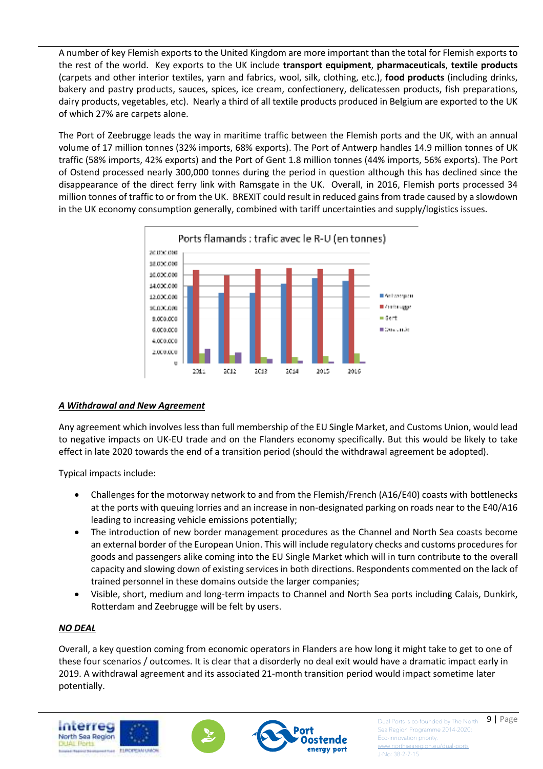A number of key Flemish exports to the United Kingdom are more important than the total for Flemish exports to the rest of the world. Key exports to the UK include **transport equipment**, **pharmaceuticals**, **textile products** (carpets and other interior textiles, yarn and fabrics, wool, silk, clothing, etc.), **food products** (including drinks, bakery and pastry products, sauces, spices, ice cream, confectionery, delicatessen products, fish preparations, dairy products, vegetables, etc). Nearly a third of all textile products produced in Belgium are exported to the UK of which 27% are carpets alone.

The Port of Zeebrugge leads the way in maritime traffic between the Flemish ports and the UK, with an annual volume of 17 million tonnes (32% imports, 68% exports). The Port of Antwerp handles 14.9 million tonnes of UK traffic (58% imports, 42% exports) and the Port of Gent 1.8 million tonnes (44% imports, 56% exports). The Port of Ostend processed nearly 300,000 tonnes during the period in question although this has declined since the disappearance of the direct ferry link with Ramsgate in the UK. Overall, in 2016, Flemish ports processed 34 million tonnes of traffic to or from the UK. BREXIT could result in reduced gains from trade caused by a slowdown in the UK economy consumption generally, combined with tariff uncertainties and supply/logistics issues.



#### *A Withdrawal and New Agreement*

Any agreement which involves less than full membership of the EU Single Market, and Customs Union, would lead to negative impacts on UK-EU trade and on the Flanders economy specifically. But this would be likely to take effect in late 2020 towards the end of a transition period (should the withdrawal agreement be adopted).

Typical impacts include:

- Challenges for the motorway network to and from the Flemish/French (A16/E40) coasts with bottlenecks at the ports with queuing lorries and an increase in non-designated parking on roads near to the E40/A16 leading to increasing vehicle emissions potentially;
- The introduction of new border management procedures as the Channel and North Sea coasts become an external border of the European Union. This will include regulatory checks and customs procedures for goods and passengers alike coming into the EU Single Market which will in turn contribute to the overall capacity and slowing down of existing services in both directions. Respondents commented on the lack of trained personnel in these domains outside the larger companies;
- Visible, short, medium and long-term impacts to Channel and North Sea ports including Calais, Dunkirk, Rotterdam and Zeebrugge will be felt by users.

#### *NO DEAL*

Overall, a key question coming from economic operators in Flanders are how long it might take to get to one of these four scenarios / outcomes. It is clear that a disorderly no deal exit would have a dramatic impact early in 2019. A withdrawal agreement and its associated 21-month transition period would impact sometime later potentially.







Dual Ports is co-founded by The North  $\left. 9 \right|$  Page Sea Region Programme 2014-2020; Eco-innovation priority. ww.northsea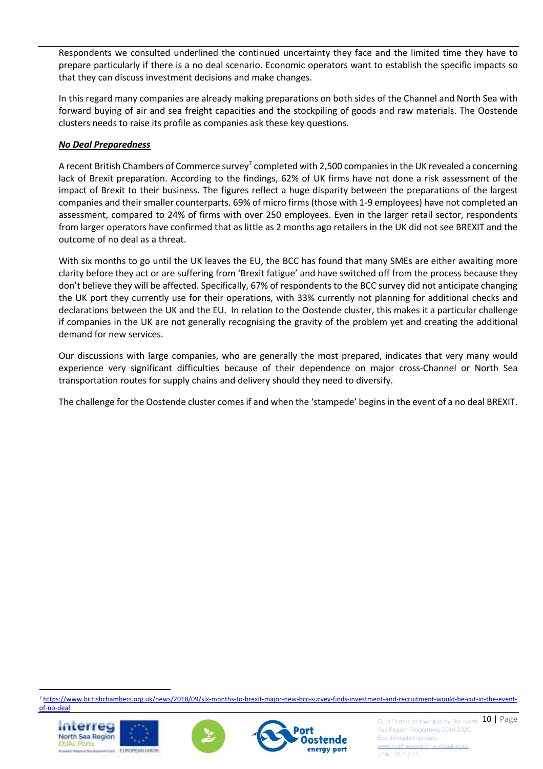Respondents we consulted underlined the continued uncertainty they face and the limited time they have to prepare particularly if there is a no deal scenario. Economic operators want to establish the specific impacts so that they can discuss investment decisions and make changes.

In this regard many companies are already making preparations on both sides of the Channel and North Sea with forward buying of air and sea freight capacities and the stockpiling of goods and raw materials. The Oostende clusters needs to raise its profile as companies ask these key questions.

#### *No Deal Preparedness*

A recent British Chambers of Commerce survey<sup>7</sup> completed with 2,500 companies in the UK revealed a concerning lack of Brexit preparation. According to the findings, 62% of UK firms have not done a risk assessment of the impact of Brexit to their business. The figures reflect a huge disparity between the preparations of the largest companies and their smaller counterparts. 69% of micro firms (those with 1-9 employees) have not completed an assessment, compared to 24% of firms with over 250 employees. Even in the larger retail sector, respondents from larger operators have confirmed that as little as 2 months ago retailers in the UK did not see BREXIT and the outcome of no deal as a threat.

With six months to go until the UK leaves the EU, the BCC has found that many SMEs are either awaiting more clarity before they act or are suffering from 'Brexit fatigue' and have switched off from the process because they don't believe they will be affected. Specifically, 67% of respondents to the BCC survey did not anticipate changing the UK port they currently use for their operations, with 33% currently not planning for additional checks and declarations between the UK and the EU. In relation to the Oostende cluster, this makes it a particular challenge if companies in the UK are not generally recognising the gravity of the problem yet and creating the additional demand for new services.

Our discussions with large companies, who are generally the most prepared, indicates that very many would experience very significant difficulties because of their dependence on major cross-Channel or North Sea transportation routes for supply chains and delivery should they need to diversify.

The challenge for the Oostende cluster comes if and when the 'stampede' begins in the event of a no deal BREXIT.

<sup>7</sup> https://www.britishchambers.org.uk/news/2018/09/six-months-to-brexit-major-new-bcc-survey-finds-investment-and-recruitment-would-be-cut-in-the-eventof-no-deal



l





Dual Ports is co-founded by The North 10 | Page Sea Region Programme 2014-2020; Eco-innovation priority.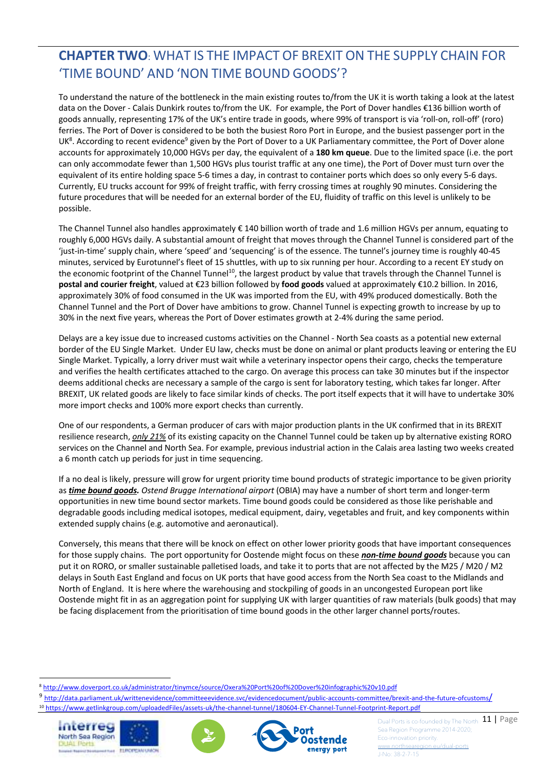### **CHAPTER TWO**: WHAT IS THE IMPACT OF BREXIT ON THE SUPPLY CHAIN FOR 'TIME BOUND' AND 'NON TIME BOUND GOODS'?

To understand the nature of the bottleneck in the main existing routes to/from the UK it is worth taking a look at the latest data on the Dover - Calais Dunkirk routes to/from the UK. For example, the Port of Dover handles €136 billion worth of goods annually, representing 17% of the UK's entire trade in goods, where 99% of transport is via 'roll-on, roll-off' (roro) ferries. The Port of Dover is considered to be both the busiest Roro Port in Europe, and the busiest passenger port in the UK<sup>8</sup>. According to recent evidence<sup>9</sup> given by the Port of Dover to a UK Parliamentary committee, the Port of Dover alone accounts for approximately 10,000 HGVs per day, the equivalent of a **180 km queue**. Due to the limited space (i.e. the port can only accommodate fewer than 1,500 HGVs plus tourist traffic at any one time), the Port of Dover must turn over the equivalent of its entire holding space 5-6 times a day, in contrast to container ports which does so only every 5-6 days. Currently, EU trucks account for 99% of freight traffic, with ferry crossing times at roughly 90 minutes. Considering the future procedures that will be needed for an external border of the EU, fluidity of traffic on this level is unlikely to be possible.

The Channel Tunnel also handles approximately € 140 billion worth of trade and 1.6 million HGVs per annum, equating to roughly 6,000 HGVs daily. A substantial amount of freight that moves through the Channel Tunnel is considered part of the 'just-in-time' supply chain, where 'speed' and 'sequencing' is of the essence. The tunnel's journey time is roughly 40-45 minutes, serviced by Eurotunnel's fleet of 15 shuttles, with up to six running per hour. According to a recent EY study on the economic footprint of the Channel Tunnel<sup>10</sup>, the largest product by value that travels through the Channel Tunnel is **postal and courier freight**, valued at €23 billion followed by **food goods** valued at approximately €10.2 billion. In 2016, approximately 30% of food consumed in the UK was imported from the EU, with 49% produced domestically. Both the Channel Tunnel and the Port of Dover have ambitions to grow. Channel Tunnel is expecting growth to increase by up to 30% in the next five years, whereas the Port of Dover estimates growth at 2-4% during the same period.

Delays are a key issue due to increased customs activities on the Channel - North Sea coasts as a potential new external border of the EU Single Market. Under EU law, checks must be done on animal or plant products leaving or entering the EU Single Market. Typically, a lorry driver must wait while a veterinary inspector opens their cargo, checks the temperature and verifies the health certificates attached to the cargo. On average this process can take 30 minutes but if the inspector deems additional checks are necessary a sample of the cargo is sent for laboratory testing, which takes far longer. After BREXIT, UK related goods are likely to face similar kinds of checks. The port itself expects that it will have to undertake 30% more import checks and 100% more export checks than currently.

One of our respondents, a German producer of cars with major production plants in the UK confirmed that in its BREXIT resilience research, *only 21%* of its existing capacity on the Channel Tunnel could be taken up by alternative existing RORO services on the Channel and North Sea. For example, previous industrial action in the Calais area lasting two weeks created a 6 month catch up periods for just in time sequencing.

If a no deal is likely, pressure will grow for urgent priority time bound products of strategic importance to be given priority as *time bound goods. Ostend Brugge International airport* (OBIA) may have a number of short term and longer-term opportunities in new time bound sector markets. Time bound goods could be considered as those like perishable and degradable goods including medical isotopes, medical equipment, dairy, vegetables and fruit, and key components within extended supply chains (e.g. automotive and aeronautical).

Conversely, this means that there will be knock on effect on other lower priority goods that have important consequences for those supply chains. The port opportunity for Oostende might focus on these *non-time bound goods* because you can put it on RORO, or smaller sustainable palletised loads, and take it to ports that are not affected by the M25 / M20 / M2 delays in South East England and focus on UK ports that have good access from the North Sea coast to the Midlands and North of England. It is here where the warehousing and stockpiling of goods in an uncongested European port like Oostende might fit in as an aggregation point for supplying UK with larger quantities of raw materials (bulk goods) that may be facing displacement from the prioritisation of time bound goods in the other larger channel ports/routes.

<sup>&</sup>lt;sup>9</sup> http://data.parliament.uk/writtenevidence/committeeevidence.svc/evidencedocument/public-accounts-committee/brexit-and-the-future-ofcustoms/ <sup>10</sup> https://www.getlinkgroup.com/uploadedFiles/assets-uk/the-channel-tunnel/180604-EY-Channel-Tunnel-Footprint-Report.pdf







Dual Ports is co-founded by The North 11 | Page Sea Region Programme 2014-2020; Eco-innovation priority.

l <sup>8</sup> http://www.doverport.co.uk/administrator/tinymce/source/Oxera%20Port%20of%20Dover%20infographic%20v10.pdf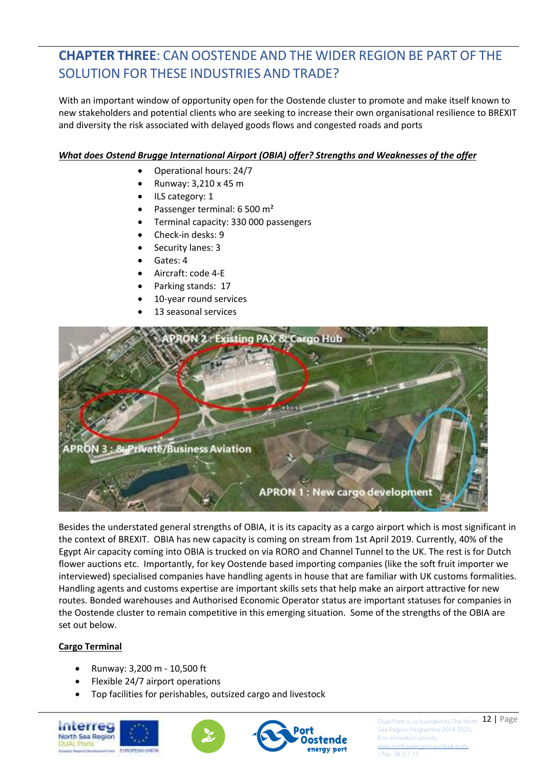# **CHAPTER THREE**: CAN OOSTENDE AND THE WIDER REGION BE PART OF THE SOLUTION FOR THESE INDUSTRIES AND TRADE?

With an important window of opportunity open for the Oostende cluster to promote and make itself known to new stakeholders and potential clients who are seeking to increase their own organisational resilience to BREXIT and diversity the risk associated with delayed goods flows and congested roads and ports

#### *What does Ostend Brugge International Airport (OBIA) offer? Strengths and Weaknesses of the offer*

- Operational hours: 24/7
- Runway: 3,210 x 45 m
- ILS category: 1
- Passenger terminal: 6 500 m<sup>2</sup>
- Terminal capacity: 330 000 passengers
- Check-in desks: 9
- Security lanes: 3
- Gates: 4
- Aircraft: code 4-E
- Parking stands: 17
- 10-year round services
- 13 seasonal services



Besides the understated general strengths of OBIA, it is its capacity as a cargo airport which is most significant in the context of BREXIT. OBIA has new capacity is coming on stream from 1st April 2019. Currently, 40% of the Egypt Air capacity coming into OBIA is trucked on via RORO and Channel Tunnel to the UK. The rest is for Dutch flower auctions etc. Importantly, for key Oostende based importing companies (like the soft fruit importer we interviewed) specialised companies have handling agents in house that are familiar with UK customs formalities. Handling agents and customs expertise are important skills sets that help make an airport attractive for new routes. Bonded warehouses and Authorised Economic Operator status are important statuses for companies in the Oostende cluster to remain competitive in this emerging situation. Some of the strengths of the OBIA are set out below.

#### **Cargo Terminal**

- Runway: 3,200 m 10,500 ft
- Flexible 24/7 airport operations
- Top facilities for perishables, outsized cargo and livestock







Dual Ports is co-founded by The North  $22 | Page$ Sea Region Programme 2014-2020; Eco-innovation priority.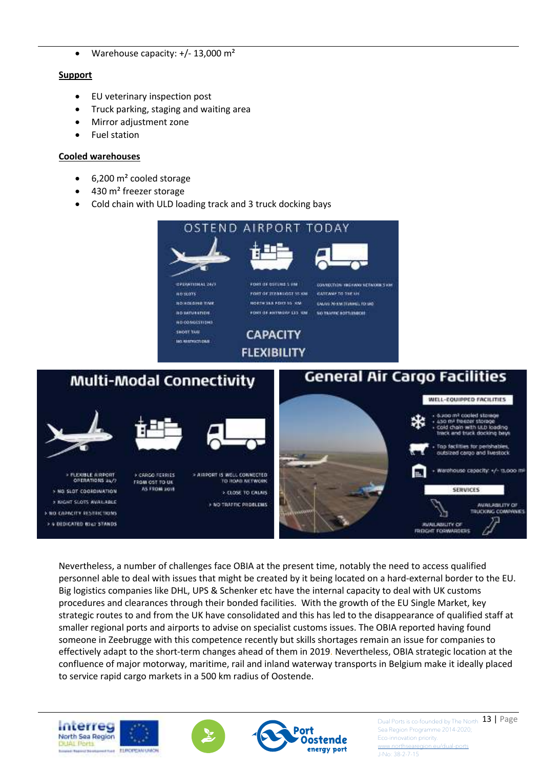• Warehouse capacity: +/- 13,000 m²

#### **Support**

- EU veterinary inspection post
- Truck parking, staging and waiting area
- Mirror adjustment zone
- Fuel station

#### **Cooled warehouses**

- 6,200 m² cooled storage
- 430 m<sup>2</sup> freezer storage
- Cold chain with ULD loading track and 3 truck docking bays



Nevertheless, a number of challenges face OBIA at the present time, notably the need to access qualified personnel able to deal with issues that might be created by it being located on a hard-external border to the EU. Big logistics companies like DHL, UPS & Schenker etc have the internal capacity to deal with UK customs procedures and clearances through their bonded facilities. With the growth of the EU Single Market, key strategic routes to and from the UK have consolidated and this has led to the disappearance of qualified staff at smaller regional ports and airports to advise on specialist customs issues. The OBIA reported having found someone in Zeebrugge with this competence recently but skills shortages remain an issue for companies to effectively adapt to the short-term changes ahead of them in 2019. Nevertheless, OBIA strategic location at the confluence of major motorway, maritime, rail and inland waterway transports in Belgium make it ideally placed to service rapid cargo markets in a 500 km radius of Oostende.







Dual Ports is co-founded by The North 13 | Page Sea Region Programme 2014-2020; Eco-innovation priority.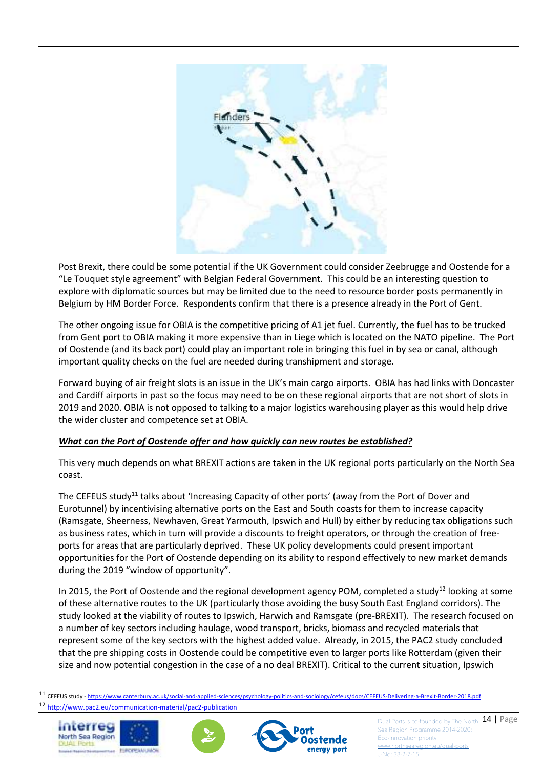

Post Brexit, there could be some potential if the UK Government could consider Zeebrugge and Oostende for a "Le Touquet style agreement" with Belgian Federal Government. This could be an interesting question to explore with diplomatic sources but may be limited due to the need to resource border posts permanently in Belgium by HM Border Force. Respondents confirm that there is a presence already in the Port of Gent.

The other ongoing issue for OBIA is the competitive pricing of A1 jet fuel. Currently, the fuel has to be trucked from Gent port to OBIA making it more expensive than in Liege which is located on the NATO pipeline. The Port of Oostende (and its back port) could play an important role in bringing this fuel in by sea or canal, although important quality checks on the fuel are needed during transhipment and storage.

Forward buying of air freight slots is an issue in the UK's main cargo airports. OBIA has had links with Doncaster and Cardiff airports in past so the focus may need to be on these regional airports that are not short of slots in 2019 and 2020. OBIA is not opposed to talking to a major logistics warehousing player as this would help drive the wider cluster and competence set at OBIA.

#### *What can the Port of Oostende offer and how quickly can new routes be established?*

This very much depends on what BREXIT actions are taken in the UK regional ports particularly on the North Sea coast.

The CEFEUS study<sup>11</sup> talks about 'Increasing Capacity of other ports' (away from the Port of Dover and Eurotunnel) by incentivising alternative ports on the East and South coasts for them to increase capacity (Ramsgate, Sheerness, Newhaven, Great Yarmouth, Ipswich and Hull) by either by reducing tax obligations such as business rates, which in turn will provide a discounts to freight operators, or through the creation of freeports for areas that are particularly deprived. These UK policy developments could present important opportunities for the Port of Oostende depending on its ability to respond effectively to new market demands during the 2019 "window of opportunity".

In 2015, the Port of Oostende and the regional development agency POM, completed a study<sup>12</sup> looking at some of these alternative routes to the UK (particularly those avoiding the busy South East England corridors). The study looked at the viability of routes to Ipswich, Harwich and Ramsgate (pre-BREXIT). The research focused on a number of key sectors including haulage, wood transport, bricks, biomass and recycled materials that represent some of the key sectors with the highest added value. Already, in 2015, the PAC2 study concluded that the pre shipping costs in Oostende could be competitive even to larger ports like Rotterdam (given their size and now potential congestion in the case of a no deal BREXIT). Critical to the current situation, Ipswich

<sup>11</sup> CEFEUS study - https://www.canterbury.ac.uk/social-and-applied-sciences/psychology-politics-and-sociology/cefeus/docs/CEFEUS-Delivering-a-Brexit-Border-2018.pdf <sup>12</sup> http://www.pac2.eu/communication-material/pac2-publication



l





Dual Ports is co-founded by The North  $\overline{14}$  | Page Sea Region Programme 2014-2020; Eco-innovation priority.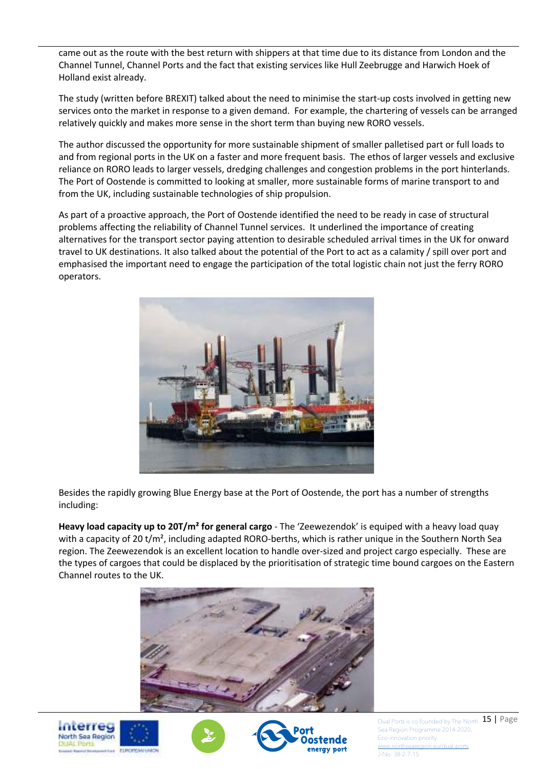came out as the route with the best return with shippers at that time due to its distance from London and the Channel Tunnel, Channel Ports and the fact that existing services like Hull Zeebrugge and Harwich Hoek of Holland exist already.

The study (written before BREXIT) talked about the need to minimise the start-up costs involved in getting new services onto the market in response to a given demand. For example, the chartering of vessels can be arranged relatively quickly and makes more sense in the short term than buying new RORO vessels.

The author discussed the opportunity for more sustainable shipment of smaller palletised part or full loads to and from regional ports in the UK on a faster and more frequent basis. The ethos of larger vessels and exclusive reliance on RORO leads to larger vessels, dredging challenges and congestion problems in the port hinterlands. The Port of Oostende is committed to looking at smaller, more sustainable forms of marine transport to and from the UK, including sustainable technologies of ship propulsion.

As part of a proactive approach, the Port of Oostende identified the need to be ready in case of structural problems affecting the reliability of Channel Tunnel services. It underlined the importance of creating alternatives for the transport sector paying attention to desirable scheduled arrival times in the UK for onward travel to UK destinations. It also talked about the potential of the Port to act as a calamity / spill over port and emphasised the important need to engage the participation of the total logistic chain not just the ferry RORO operators.



Besides the rapidly growing Blue Energy base at the Port of Oostende, the port has a number of strengths including:

**Heavy load capacity up to 20T/m² for general cargo** - The 'Zeewezendok' is equiped with a heavy load quay with a capacity of 20 t/m<sup>2</sup>, including adapted RORO-berths, which is rather unique in the Southern North Sea region. The Zeewezendok is an excellent location to handle over-sized and project cargo especially. These are the types of cargoes that could be displaced by the prioritisation of strategic time bound cargoes on the Eastern Channel routes to the UK.









Dual Ports is co-founded by The North  $\overline{15}$  | Page Sea Region Programme 2014-2020; Eco-innovation priority. w.northsea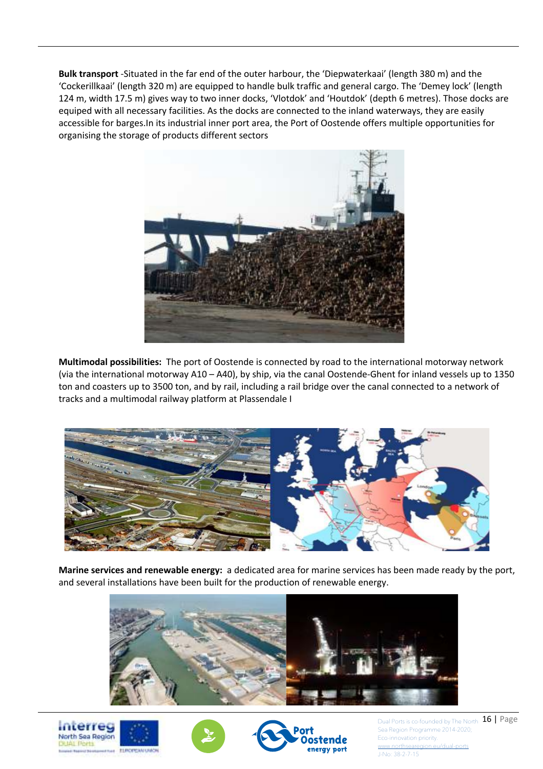**Bulk transport** -Situated in the far end of the outer harbour, the 'Diepwaterkaai' (length 380 m) and the 'Cockerillkaai' (length 320 m) are equipped to handle bulk traffic and general cargo. The 'Demey lock' (length 124 m, width 17.5 m) gives way to two inner docks, 'Vlotdok' and 'Houtdok' (depth 6 metres). Those docks are equiped with all necessary facilities. As the docks are connected to the inland waterways, they are easily accessible for barges.In its industrial inner port area, the Port of Oostende offers multiple opportunities for organising the storage of products different sectors



**Multimodal possibilities:** The port of Oostende is connected by road to the international motorway network (via the international motorway A10 – A40), by ship, via the canal Oostende-Ghent for inland vessels up to 1350 ton and coasters up to 3500 ton, and by rail, including a rail bridge over the canal connected to a network of tracks and a multimodal railway platform at Plassendale I



**Marine services and renewable energy:** a dedicated area for marine services has been made ready by the port, and several installations have been built for the production of renewable energy.









Dual Ports is co-founded by The North  $\overline{16}$  | Page Sea Region Programme 2014-2020; Eco-innovation priority. w.northsea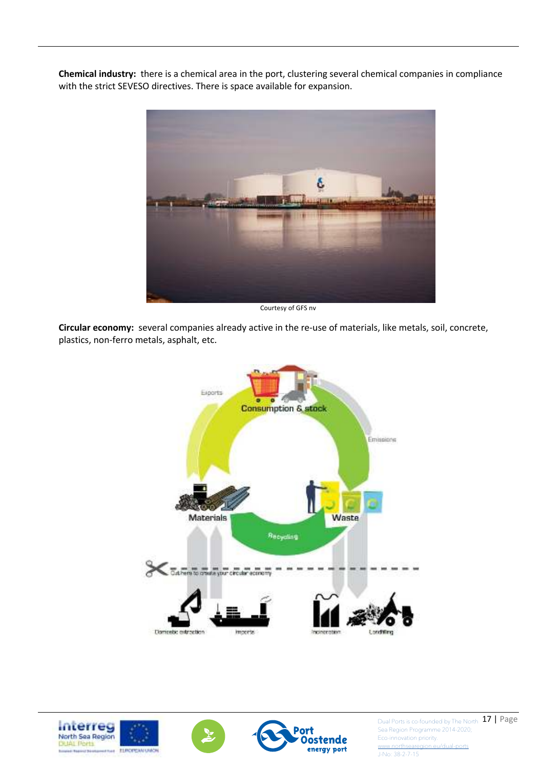**Chemical industry:** there is a chemical area in the port, clustering several chemical companies in compliance with the strict SEVESO directives. There is space available for expansion.



Courtesy of GFS nv

**Circular economy:** several companies already active in the re-use of materials, like metals, soil, concrete, plastics, non-ferro metals, asphalt, etc.





Dual Ports is co-founded by The North 17 | Page Sea Region Programme 2014-2020; Eco-innovation priority. www.northseare

J-No: 38-2-7-15

ostende

energy port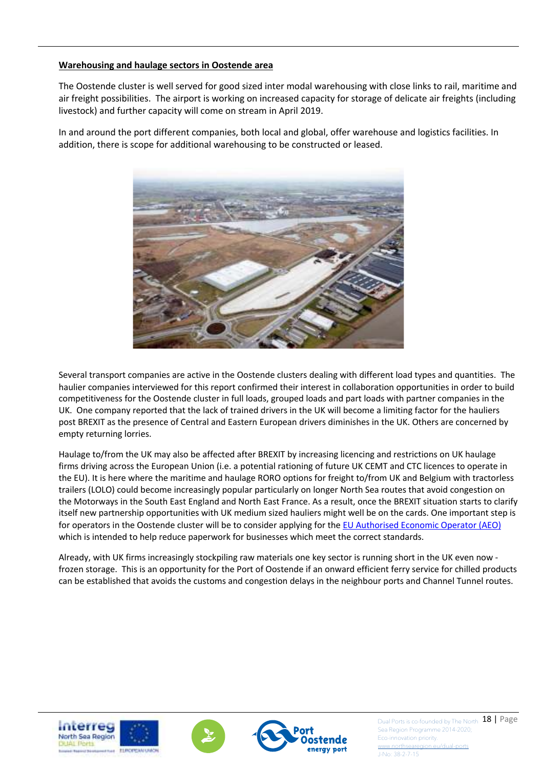#### **Warehousing and haulage sectors in Oostende area**

The Oostende cluster is well served for good sized inter modal warehousing with close links to rail, maritime and air freight possibilities. The airport is working on increased capacity for storage of delicate air freights (including livestock) and further capacity will come on stream in April 2019.

In and around the port different companies, both local and global, offer warehouse and logistics facilities. In addition, there is scope for additional warehousing to be constructed or leased.



Several transport companies are active in the Oostende clusters dealing with different load types and quantities. The haulier companies interviewed for this report confirmed their interest in collaboration opportunities in order to build competitiveness for the Oostende cluster in full loads, grouped loads and part loads with partner companies in the UK. One company reported that the lack of trained drivers in the UK will become a limiting factor for the hauliers post BREXIT as the presence of Central and Eastern European drivers diminishes in the UK. Others are concerned by empty returning lorries.

Haulage to/from the UK may also be affected after BREXIT by increasing licencing and restrictions on UK haulage firms driving across the European Union (i.e. a potential rationing of future UK CEMT and CTC licences to operate in the EU). It is here where the maritime and haulage RORO options for freight to/from UK and Belgium with tractorless trailers (LOLO) could become increasingly popular particularly on longer North Sea routes that avoid congestion on the Motorways in the South East England and North East France. As a result, once the BREXIT situation starts to clarify itself new partnership opportunities with UK medium sized hauliers might well be on the cards. One important step is for operators in the Oostende cluster will be to consider applying for the EU Authorised Economic Operator (AEO) which is intended to help reduce paperwork for businesses which meet the correct standards.

Already, with UK firms increasingly stockpiling raw materials one key sector is running short in the UK even now frozen storage. This is an opportunity for the Port of Oostende if an onward efficient ferry service for chilled products can be established that avoids the customs and congestion delays in the neighbour ports and Channel Tunnel routes.







Dual Ports is co-founded by The North 18 | Page Sea Region Programme 2014-2020; Eco-innovation priority.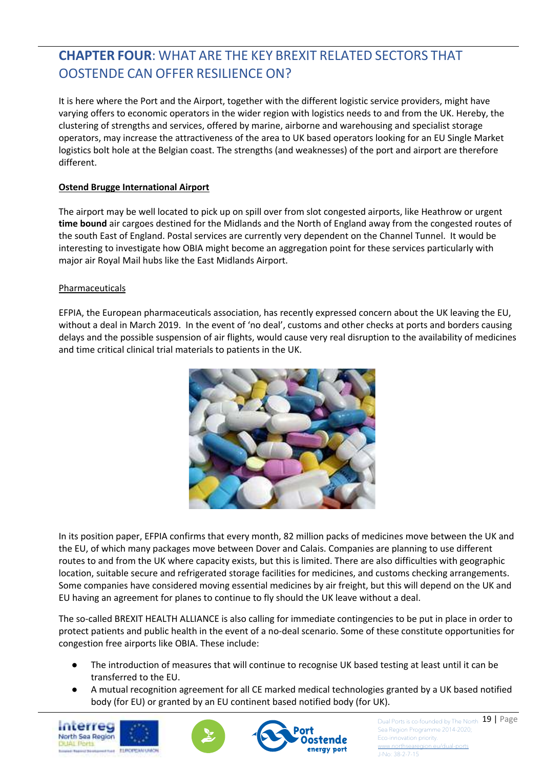# **CHAPTER FOUR**: WHAT ARE THE KEY BREXIT RELATED SECTORS THAT OOSTENDE CAN OFFER RESILIENCE ON?

It is here where the Port and the Airport, together with the different logistic service providers, might have varying offers to economic operators in the wider region with logistics needs to and from the UK. Hereby, the clustering of strengths and services, offered by marine, airborne and warehousing and specialist storage operators, may increase the attractiveness of the area to UK based operators looking for an EU Single Market logistics bolt hole at the Belgian coast. The strengths (and weaknesses) of the port and airport are therefore different.

#### **Ostend Brugge International Airport**

The airport may be well located to pick up on spill over from slot congested airports, like Heathrow or urgent **time bound** air cargoes destined for the Midlands and the North of England away from the congested routes of the south East of England. Postal services are currently very dependent on the Channel Tunnel. It would be interesting to investigate how OBIA might become an aggregation point for these services particularly with major air Royal Mail hubs like the East Midlands Airport.

#### Pharmaceuticals

EFPIA, the European pharmaceuticals association, has recently expressed concern about the UK leaving the EU, without a deal in March 2019. In the event of 'no deal', customs and other checks at ports and borders causing delays and the possible suspension of air flights, would cause very real disruption to the availability of medicines and time critical clinical trial materials to patients in the UK.



In its position paper, EFPIA confirms that every month, 82 million packs of medicines move between the UK and the EU, of which many packages move between Dover and Calais. Companies are planning to use different routes to and from the UK where capacity exists, but this is limited. There are also difficulties with geographic location, suitable secure and refrigerated storage facilities for medicines, and customs checking arrangements. Some companies have considered moving essential medicines by air freight, but this will depend on the UK and EU having an agreement for planes to continue to fly should the UK leave without a deal.

The so-called BREXIT HEALTH ALLIANCE is also calling for immediate contingencies to be put in place in order to protect patients and public health in the event of a no-deal scenario. Some of these constitute opportunities for congestion free airports like OBIA. These include:

- The introduction of measures that will continue to recognise UK based testing at least until it can be transferred to the EU.
- A mutual recognition agreement for all CE marked medical technologies granted by a UK based notified body (for EU) or granted by an EU continent based notified body (for UK).







Dual Ports is co-founded by The North 19 | Page Sea Region Programme 2014-2020; Eco-innovation priority.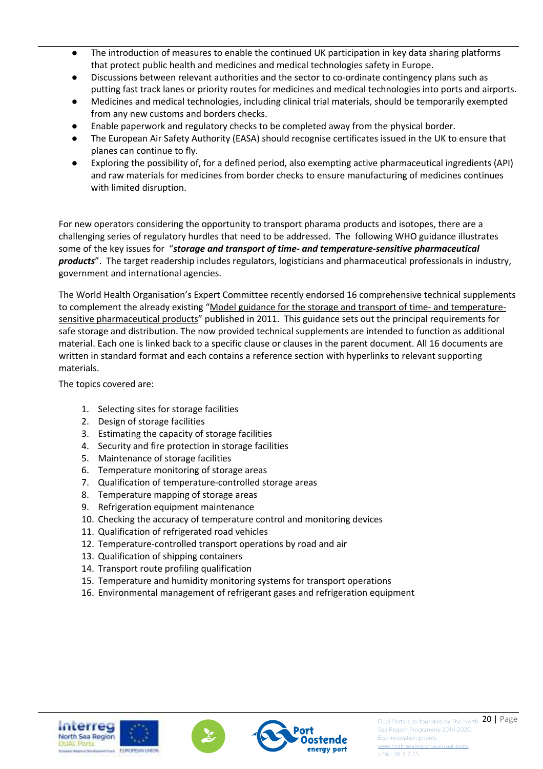- The introduction of measures to enable the continued UK participation in key data sharing platforms that protect public health and medicines and medical technologies safety in Europe.
- Discussions between relevant authorities and the sector to co-ordinate contingency plans such as putting fast track lanes or priority routes for medicines and medical technologies into ports and airports.
- Medicines and medical technologies, including clinical trial materials, should be temporarily exempted from any new customs and borders checks.
- Enable paperwork and regulatory checks to be completed away from the physical border.
- The European Air Safety Authority (EASA) should recognise certificates issued in the UK to ensure that planes can continue to fly.
- Exploring the possibility of, for a defined period, also exempting active pharmaceutical ingredients (API) and raw materials for medicines from border checks to ensure manufacturing of medicines continues with limited disruption.

For new operators considering the opportunity to transport pharama products and isotopes, there are a challenging series of regulatory hurdles that need to be addressed. The following WHO guidance illustrates some of the key issues for "*storage and transport of time- and temperature-sensitive pharmaceutical products*". The target readership includes regulators, logisticians and pharmaceutical professionals in industry, government and international agencies.

The World Health Organisation's Expert Committee recently endorsed 16 comprehensive technical supplements to complement the already existing "Model guidance for the storage and transport of time- and temperaturesensitive pharmaceutical products" published in 2011. This guidance sets out the principal requirements for safe storage and distribution. The now provided technical supplements are intended to function as additional material. Each one is linked back to a specific clause or clauses in the parent document. All 16 documents are written in standard format and each contains a reference section with hyperlinks to relevant supporting materials.

The topics covered are:

- 1. Selecting sites for storage facilities
- 2. Design of storage facilities
- 3. Estimating the capacity of storage facilities
- 4. Security and fire protection in storage facilities
- 5. Maintenance of storage facilities
- 6. Temperature monitoring of storage areas
- 7. Qualification of temperature-controlled storage areas
- 8. Temperature mapping of storage areas
- 9. Refrigeration equipment maintenance
- 10. Checking the accuracy of temperature control and monitoring devices
- 11. Qualification of refrigerated road vehicles
- 12. Temperature-controlled transport operations by road and air
- 13. Qualification of shipping containers
- 14. Transport route profiling qualification
- 15. Temperature and humidity monitoring systems for transport operations
- 16. Environmental management of refrigerant gases and refrigeration equipment





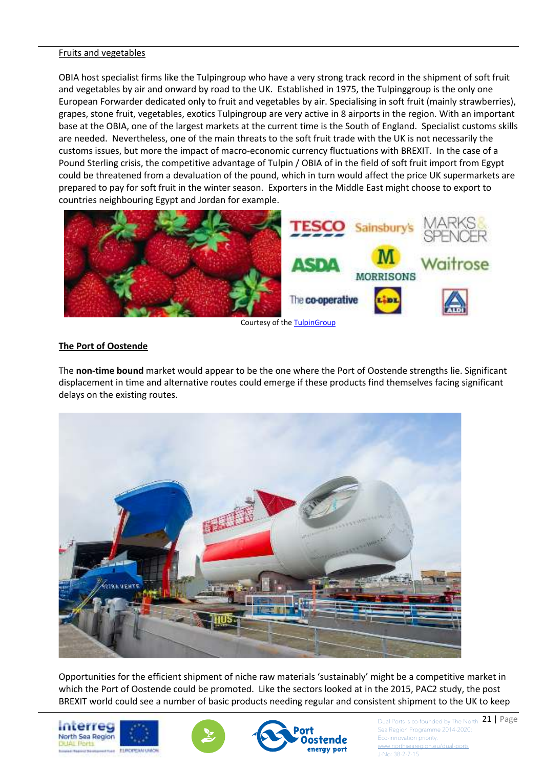#### Fruits and vegetables

OBIA host specialist firms like the Tulpingroup who have a very strong track record in the shipment of soft fruit and vegetables by air and onward by road to the UK. Established in 1975, the Tulpinggroup is the only one European Forwarder dedicated only to fruit and vegetables by air. Specialising in soft fruit (mainly strawberries), grapes, stone fruit, vegetables, exotics Tulpingroup are very active in 8 airports in the region. With an important base at the OBIA, one of the largest markets at the current time is the South of England. Specialist customs skills are needed. Nevertheless, one of the main threats to the soft fruit trade with the UK is not necessarily the customs issues, but more the impact of macro-economic currency fluctuations with BREXIT. In the case of a Pound Sterling crisis, the competitive advantage of Tulpin / OBIA of in the field of soft fruit import from Egypt could be threatened from a devaluation of the pound, which in turn would affect the price UK supermarkets are prepared to pay for soft fruit in the winter season. Exporters in the Middle East might choose to export to countries neighbouring Egypt and Jordan for example.



Courtesy of the TulpinGroup

#### **The Port of Oostende**

The **non-time bound** market would appear to be the one where the Port of Oostende strengths lie. Significant displacement in time and alternative routes could emerge if these products find themselves facing significant delays on the existing routes.



Opportunities for the efficient shipment of niche raw materials 'sustainably' might be a competitive market in which the Port of Oostende could be promoted. Like the sectors looked at in the 2015, PAC2 study, the post BREXIT world could see a number of basic products needing regular and consistent shipment to the UK to keep







Dual Ports is co-founded by The North  $\begin{array}{c} 21 \end{array}$  **Page** Sea Region Programme 2014-2020; Eco-innovation priority.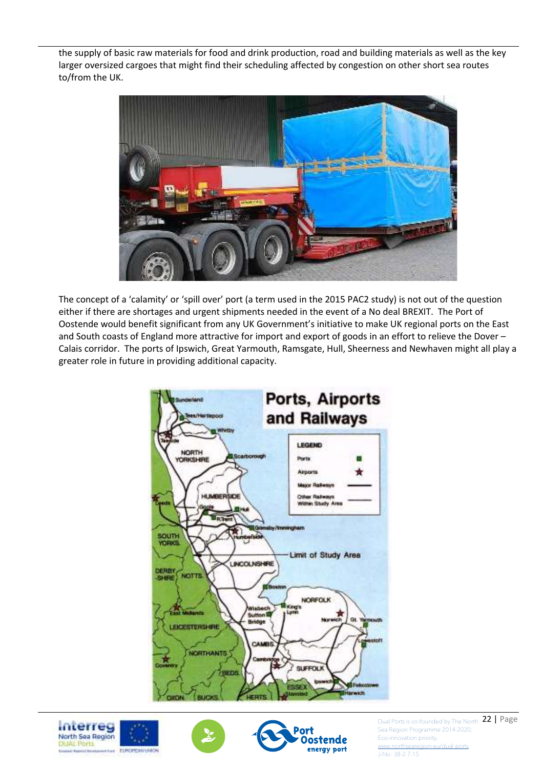the supply of basic raw materials for food and drink production, road and building materials as well as the key larger oversized cargoes that might find their scheduling affected by congestion on other short sea routes to/from the UK.



The concept of a 'calamity' or 'spill over' port (a term used in the 2015 PAC2 study) is not out of the question either if there are shortages and urgent shipments needed in the event of a No deal BREXIT. The Port of Oostende would benefit significant from any UK Government's initiative to make UK regional ports on the East and South coasts of England more attractive for import and export of goods in an effort to relieve the Dover – Calais corridor. The ports of Ipswich, Great Yarmouth, Ramsgate, Hull, Sheerness and Newhaven might all play a greater role in future in providing additional capacity.









Dual Ports is co-founded by The North 22 | Page Sea Region Programme 2014-2020; Eco-innovation priority.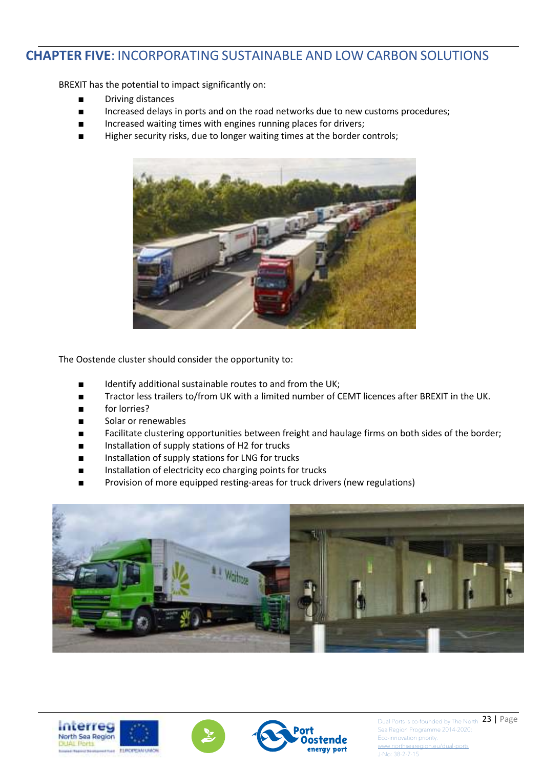### **CHAPTER FIVE**: INCORPORATING SUSTAINABLE AND LOW CARBON SOLUTIONS

BREXIT has the potential to impact significantly on:

- Driving distances
- Increased delays in ports and on the road networks due to new customs procedures;
- Increased waiting times with engines running places for drivers;
- Higher security risks, due to longer waiting times at the border controls;



The Oostende cluster should consider the opportunity to:

- Identify additional sustainable routes to and from the UK;
- Tractor less trailers to/from UK with a limited number of CEMT licences after BREXIT in the UK.
- for lorries?
- Solar or renewables
- Facilitate clustering opportunities between freight and haulage firms on both sides of the border;
- Installation of supply stations of H2 for trucks
- Installation of supply stations for LNG for trucks
- Installation of electricity eco charging points for trucks
- Provision of more equipped resting-areas for truck drivers (new regulations)









Dual Ports is co-founded by The North 23 | Page Sea Region Programme 2014-2020; Eco-innovation priority.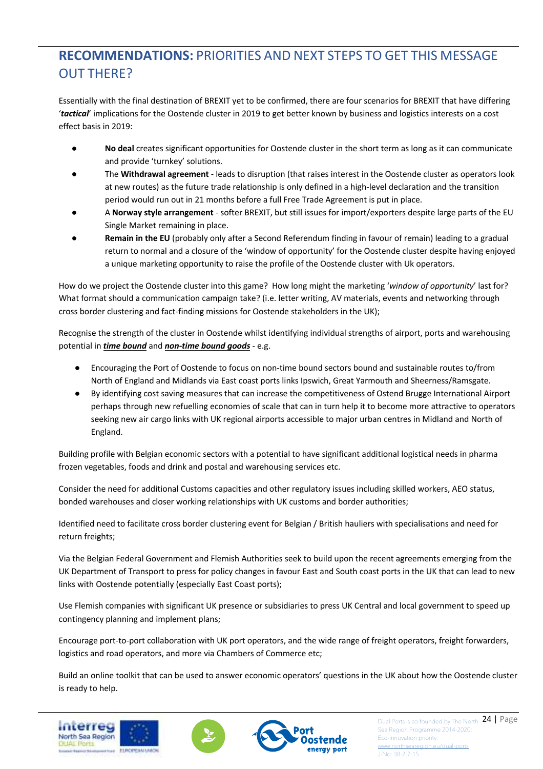## **RECOMMENDATIONS:** PRIORITIES AND NEXT STEPS TO GET THIS MESSAGE OUT THERE?

Essentially with the final destination of BREXIT yet to be confirmed, there are four scenarios for BREXIT that have differing '*tactical*' implications for the Oostende cluster in 2019 to get better known by business and logistics interests on a cost effect basis in 2019:

- No deal creates significant opportunities for Oostende cluster in the short term as long as it can communicate and provide 'turnkey' solutions.
- The **Withdrawal agreement** leads to disruption (that raises interest in the Oostende cluster as operators look at new routes) as the future trade relationship is only defined in a high-level declaration and the transition period would run out in 21 months before a full Free Trade Agreement is put in place.
- A **Norway style arrangement** softer BREXIT, but still issues for import/exporters despite large parts of the EU Single Market remaining in place.
- **Remain in the EU** (probably only after a Second Referendum finding in favour of remain) leading to a gradual return to normal and a closure of the 'window of opportunity' for the Oostende cluster despite having enjoyed a unique marketing opportunity to raise the profile of the Oostende cluster with Uk operators.

How do we project the Oostende cluster into this game? How long might the marketing '*window of opportunity*' last for? What format should a communication campaign take? (i.e. letter writing, AV materials, events and networking through cross border clustering and fact-finding missions for Oostende stakeholders in the UK);

Recognise the strength of the cluster in Oostende whilst identifying individual strengths of airport, ports and warehousing potential in *time bound* and *non-time bound goods* - e.g.

- Encouraging the Port of Oostende to focus on non-time bound sectors bound and sustainable routes to/from North of England and Midlands via East coast ports links Ipswich, Great Yarmouth and Sheerness/Ramsgate.
- By identifying cost saving measures that can increase the competitiveness of Ostend Brugge International Airport perhaps through new refuelling economies of scale that can in turn help it to become more attractive to operators seeking new air cargo links with UK regional airports accessible to major urban centres in Midland and North of England.

Building profile with Belgian economic sectors with a potential to have significant additional logistical needs in pharma frozen vegetables, foods and drink and postal and warehousing services etc.

Consider the need for additional Customs capacities and other regulatory issues including skilled workers, AEO status, bonded warehouses and closer working relationships with UK customs and border authorities;

Identified need to facilitate cross border clustering event for Belgian / British hauliers with specialisations and need for return freights;

Via the Belgian Federal Government and Flemish Authorities seek to build upon the recent agreements emerging from the UK Department of Transport to press for policy changes in favour East and South coast ports in the UK that can lead to new links with Oostende potentially (especially East Coast ports);

Use Flemish companies with significant UK presence or subsidiaries to press UK Central and local government to speed up contingency planning and implement plans;

Encourage port-to-port collaboration with UK port operators, and the wide range of freight operators, freight forwarders, logistics and road operators, and more via Chambers of Commerce etc;

Build an online toolkit that can be used to answer economic operators' questions in the UK about how the Oostende cluster is ready to help.







Dual Ports is co-founded by The North 24 | Page Sea Region Programme 2014-2020; Eco-innovation priority.